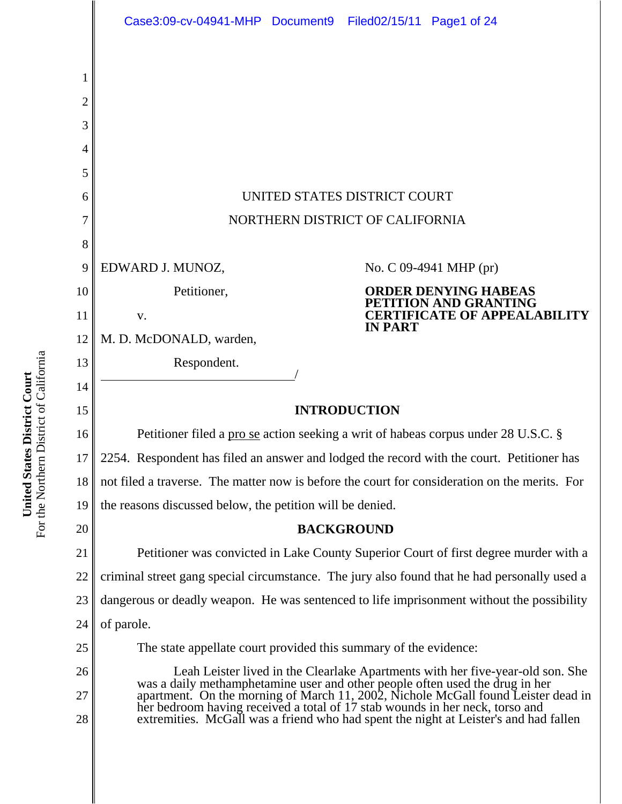|                | Case3:09-cv-04941-MHP Document9 Filed02/15/11 Page1 of 24                                                                                                                                                                                                                                                                           |                                                                                      |  |
|----------------|-------------------------------------------------------------------------------------------------------------------------------------------------------------------------------------------------------------------------------------------------------------------------------------------------------------------------------------|--------------------------------------------------------------------------------------|--|
|                |                                                                                                                                                                                                                                                                                                                                     |                                                                                      |  |
| 1              |                                                                                                                                                                                                                                                                                                                                     |                                                                                      |  |
| $\overline{c}$ |                                                                                                                                                                                                                                                                                                                                     |                                                                                      |  |
| 3              |                                                                                                                                                                                                                                                                                                                                     |                                                                                      |  |
| 4              |                                                                                                                                                                                                                                                                                                                                     |                                                                                      |  |
| 5              |                                                                                                                                                                                                                                                                                                                                     |                                                                                      |  |
| 6              | UNITED STATES DISTRICT COURT                                                                                                                                                                                                                                                                                                        |                                                                                      |  |
| 7              | NORTHERN DISTRICT OF CALIFORNIA                                                                                                                                                                                                                                                                                                     |                                                                                      |  |
| 8              |                                                                                                                                                                                                                                                                                                                                     |                                                                                      |  |
| 9              | EDWARD J. MUNOZ,                                                                                                                                                                                                                                                                                                                    | No. C 09-4941 MHP (pr)                                                               |  |
| 10             | Petitioner,                                                                                                                                                                                                                                                                                                                         | <b>ORDER DENYING HABEAS</b><br>PETITION AND GRANTING                                 |  |
| 11             | V.                                                                                                                                                                                                                                                                                                                                  | <b>CERTIFICATE OF APPEALABILITY</b><br><b>IN PART</b>                                |  |
| 12             | M. D. McDONALD, warden,                                                                                                                                                                                                                                                                                                             |                                                                                      |  |
| 13             | Respondent.                                                                                                                                                                                                                                                                                                                         |                                                                                      |  |
| 14             |                                                                                                                                                                                                                                                                                                                                     |                                                                                      |  |
| 15             | <b>INTRODUCTION</b>                                                                                                                                                                                                                                                                                                                 |                                                                                      |  |
| 16             | Petitioner filed a prose action seeking a writ of habeas corpus under 28 U.S.C. §                                                                                                                                                                                                                                                   |                                                                                      |  |
| 17             | 2254. Respondent has filed an answer and lodged the record with the court. Petitioner has                                                                                                                                                                                                                                           |                                                                                      |  |
| 18             | not filed a traverse. The matter now is before the court for consideration on the merits. For                                                                                                                                                                                                                                       |                                                                                      |  |
| 19             | the reasons discussed below, the petition will be denied.                                                                                                                                                                                                                                                                           |                                                                                      |  |
| 20             | <b>BACKGROUND</b>                                                                                                                                                                                                                                                                                                                   |                                                                                      |  |
| 21             | Petitioner was convicted in Lake County Superior Court of first degree murder with a                                                                                                                                                                                                                                                |                                                                                      |  |
| 22             | criminal street gang special circumstance. The jury also found that he had personally used a                                                                                                                                                                                                                                        |                                                                                      |  |
| 23             | dangerous or deadly weapon. He was sentenced to life imprisonment without the possibility                                                                                                                                                                                                                                           |                                                                                      |  |
| 24             | of parole.                                                                                                                                                                                                                                                                                                                          |                                                                                      |  |
| 25             | The state appellate court provided this summary of the evidence:                                                                                                                                                                                                                                                                    |                                                                                      |  |
| 26             | Leah Leister lived in the Clearlake Apartments with her five-year-old son. She<br>was a daily methamphetamine user and other people often used the drug in her<br>apartment. On the morning of March 11, 2002, Nichole McGall found Leister dead in<br>her bedroom having received a total of 17 stab wounds in her neck, torso and |                                                                                      |  |
| 27             |                                                                                                                                                                                                                                                                                                                                     |                                                                                      |  |
| 28             |                                                                                                                                                                                                                                                                                                                                     | extremities. McGall was a friend who had spent the night at Leister's and had fallen |  |
|                |                                                                                                                                                                                                                                                                                                                                     |                                                                                      |  |

**United States District Court**<br>For the Northern District of California For the Northern District of California **United States District Court**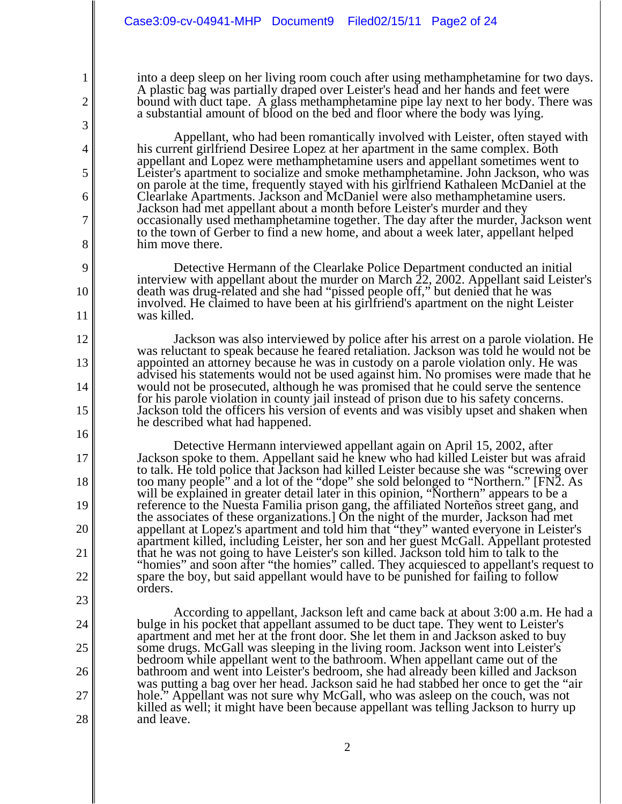2

3

4

5

6

7

8

9

10

11

12

13

14

15

16

17

18

19

20

21

22

23

24

25

26

27

28

into a deep sleep on her living room couch after using methamphetamine for two days. A plastic bag was partially draped over Leister's head and her hands and feet were bound with duct tape. A glass methamphetamine pipe lay next to her body. There was a substantial amount of blood on the bed and floor where the body was lying.

Appellant, who had been romantically involved with Leister, often stayed with his current girlfriend Desiree Lopez at her apartment in the same complex. Both appellant and Lopez were methamphetamine users and appellant sometimes went to Leister's apartment to socialize and smoke methamphetamine. John Jackson, who was on parole at the time, frequently stayed with his girlfriend Kathaleen McDaniel at the Clearlake Apartments. Jackson and McDaniel were also methamphetamine users. Jackson had met appellant about a month before Leister's murder and they occasionally used methamphetamine together. The day after the murder, Jackson went to the town of Gerber to find a new home, and about a week later, appellant helped him move there.

Detective Hermann of the Clearlake Police Department conducted an initial interview with appellant about the murder on March 22, 2002. Appellant said Leister's death was drug-related and she had "pissed people off," but denied that he was involved. He claimed to have been at his girlfriend's apartment on the night Leister was killed.

Jackson was also interviewed by police after his arrest on a parole violation. He was reluctant to speak because he feared retaliation. Jackson was told he would not be appointed an attorney because he was in custody on a parole violation only. He was advised his statements would not be used against him. No promises were made that he would not be prosecuted, although he was promised that he could serve the sentence for his parole violation in county jail instead of prison due to his safety concerns. Jackson told the officers his version of events and was visibly upset and shaken when he described what had happened.

Detective Hermann interviewed appellant again on April 15, 2002, after Jackson spoke to them. Appellant said he knew who had killed Leister but was afraid to talk. He told police that Jackson had killed Leister because she was "screwing over too many people" and a lot of the "dope" she sold belonged to "Northern." [FN2. As will be explained in greater detail later in this opinion, "Northern" appears to be a reference to the Nuesta Familia prison gang, the affiliated Norteños street gang, and the associates of these organizations.] On the night of the murder, Jackson had met appellant at Lopez's apartment and told him that "they" wanted everyone in Leister's apartment killed, including Leister, her son and her guest McGall. Appellant protested that he was not going to have Leister's son killed. Jackson told him to talk to the "homies" and soon after "the homies" called. They acquiesced to appellant's request to spare the boy, but said appellant would have to be punished for failing to follow orders.

According to appellant, Jackson left and came back at about 3:00 a.m. He had a bulge in his pocket that appellant assumed to be duct tape. They went to Leister's apartment and met her at the front door. She let them in and Jackson asked to buy some drugs. McGall was sleeping in the living room. Jackson went into Leister's bedroom while appellant went to the bathroom. When appellant came out of the bathroom and went into Leister's bedroom, she had already been killed and Jackson was putting a bag over her head. Jackson said he had stabbed her once to get the "air hole." Appellant was not sure why McGall, who was asleep on the couch, was not killed as well; it might have been because appellant was telling Jackson to hurry up and leave.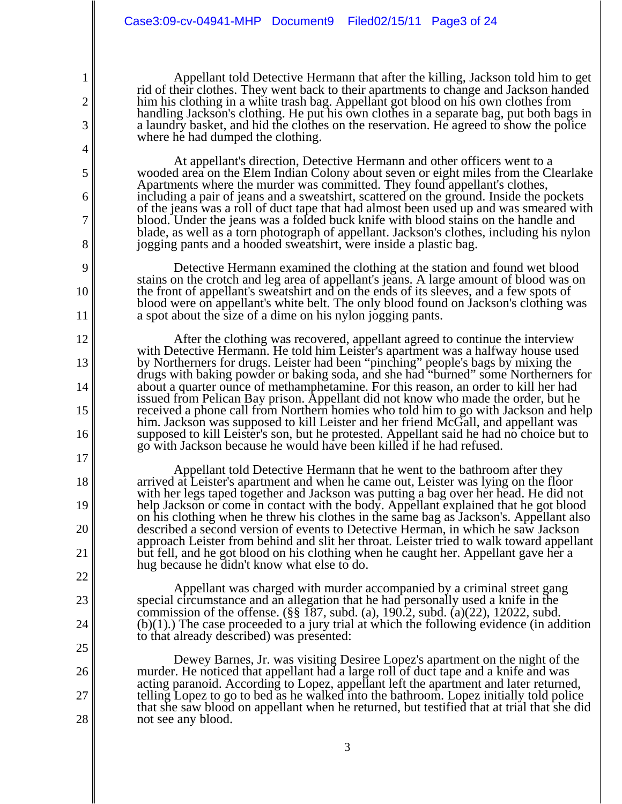2

3

4

5

6

7

8

9

10

11

12

13

14

15

16

17

18

19

20

21

22

23

24

25

26

27

28

Appellant told Detective Hermann that after the killing, Jackson told him to get rid of their clothes. They went back to their apartments to change and Jackson handed him his clothing in a white trash bag. Appellant got blood on his own clothes from handling Jackson's clothing. He put his own clothes in a separate bag, put both bags in a laundry basket, and hid the clothes on the reservation. He agreed to show the police where he had dumped the clothing.

At appellant's direction, Detective Hermann and other officers went to a wooded area on the Elem Indian Colony about seven or eight miles from the Clearlake Apartments where the murder was committed. They found appellant's clothes, including a pair of jeans and a sweatshirt, scattered on the ground. Inside the pockets of the jeans was a roll of duct tape that had almost been used up and was smeared with blood. Under the jeans was a folded buck knife with blood stains on the handle and blade, as well as a torn photograph of appellant. Jackson's clothes, including his nylon jogging pants and a hooded sweatshirt, were inside a plastic bag.

Detective Hermann examined the clothing at the station and found wet blood stains on the crotch and leg area of appellant's jeans. A large amount of blood was on the front of appellant's sweatshirt and on the ends of its sleeves, and a few spots of blood were on appellant's white belt. The only blood found on Jackson's clothing was a spot about the size of a dime on his nylon jogging pants.

After the clothing was recovered, appellant agreed to continue the interview with Detective Hermann. He told him Leister's apartment was a halfway house used by Northerners for drugs. Leister had been "pinching" people's bags by mixing the drugs with baking powder or baking soda, and she had "burned" some Northerners for about a quarter ounce of methamphetamine. For this reason, an order to kill her had issued from Pelican Bay prison. Appellant did not know who made the order, but he received a phone call from Northern homies who told him to go with Jackson and help him. Jackson was supposed to kill Leister and her friend McGall, and appellant was supposed to kill Leister's son, but he protested. Appellant said he had no choice but to go with Jackson because he would have been killed if he had refused.

Appellant told Detective Hermann that he went to the bathroom after they arrived at Leister's apartment and when he came out, Leister was lying on the floor with her legs taped together and Jackson was putting a bag over her head. He did not help Jackson or come in contact with the body. Appellant explained that he got blood on his clothing when he threw his clothes in the same bag as Jackson's. Appellant also described a second version of events to Detective Herman, in which he saw Jackson approach Leister from behind and slit her throat. Leister tried to walk toward appellant but fell, and he got blood on his clothing when he caught her. Appellant gave her a hug because he didn't know what else to do.

Appellant was charged with murder accompanied by a criminal street gang special circumstance and an allegation that he had personally used a knife in the commission of the offense. (§§ 187, subd. (a), 190.2, subd. (a)(22), 12022, subd.  $(b)(1)$ .) The case proceeded to a jury trial at which the following evidence (in addition to that already described) was presented:

Dewey Barnes, Jr. was visiting Desiree Lopez's apartment on the night of the murder. He noticed that appellant had a large roll of duct tape and a knife and was acting paranoid. According to Lopez, appellant left the apartment and later returned, telling Lopez to go to bed as he walked into the bathroom. Lopez initially told police that she saw blood on appellant when he returned, but testified that at trial that she did not see any blood.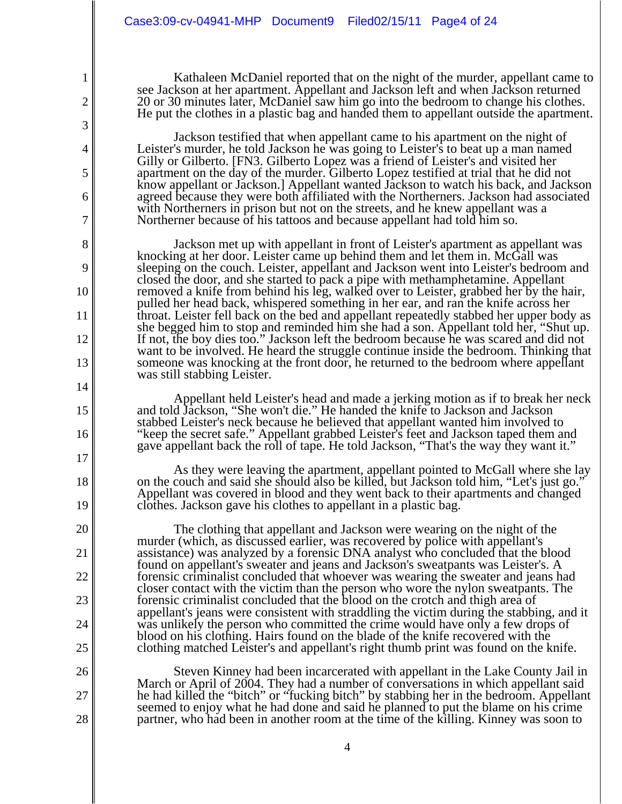2

3

4

5

6

7

8

9

10

11

12

13

14

15

16

17

18

19

20

21

22

23

24

25

26

27

28

Kathaleen McDaniel reported that on the night of the murder, appellant came to see Jackson at her apartment. Appellant and Jackson left and when Jackson returned 20 or 30 minutes later, McDaniel saw him go into the bedroom to change his clothes. He put the clothes in a plastic bag and handed them to appellant outside the apartment.

Jackson testified that when appellant came to his apartment on the night of Leister's murder, he told Jackson he was going to Leister's to beat up a man named Gilly or Gilberto. [FN3. Gilberto Lopez was a friend of Leister's and visited her apartment on the day of the murder. Gilberto Lopez testified at trial that he did not know appellant or Jackson.] Appellant wanted Jackson to watch his back, and Jackson agreed because they were both affiliated with the Northerners. Jackson had associated with Northerners in prison but not on the streets, and he knew appellant was a Northerner because of his tattoos and because appellant had told him so.

Jackson met up with appellant in front of Leister's apartment as appellant was knocking at her door. Leister came up behind them and let them in. McGall was sleeping on the couch. Leister, appellant and Jackson went into Leister's bedroom and closed the door, and she started to pack a pipe with methamphetamine. Appellant removed a knife from behind his leg, walked over to Leister, grabbed her by the hair, pulled her head back, whispered something in her ear, and ran the knife across her throat. Leister fell back on the bed and appellant repeatedly stabbed her upper body as she begged him to stop and reminded him she had a son. Appellant told her, "Shut up. If not, the boy dies too." Jackson left the bedroom because he was scared and did not want to be involved. He heard the struggle continue inside the bedroom. Thinking that someone was knocking at the front door, he returned to the bedroom where appellant was still stabbing Leister.

Appellant held Leister's head and made a jerking motion as if to break her neck and told Jackson, "She won't die." He handed the knife to Jackson and Jackson stabbed Leister's neck because he believed that appellant wanted him involved to "keep the secret safe." Appellant grabbed Leister's feet and Jackson taped them and gave appellant back the roll of tape. He told Jackson, "That's the way they want it."

As they were leaving the apartment, appellant pointed to McGall where she lay on the couch and said she should also be killed, but Jackson told him, "Let's just go." Appellant was covered in blood and they went back to their apartments and changed clothes. Jackson gave his clothes to appellant in a plastic bag.

The clothing that appellant and Jackson were wearing on the night of the murder (which, as discussed earlier, was recovered by police with appellant's assistance) was analyzed by a forensic DNA analyst who concluded that the blood found on appellant's sweater and jeans and Jackson's sweatpants was Leister's. A forensic criminalist concluded that whoever was wearing the sweater and jeans had closer contact with the victim than the person who wore the nylon sweatpants. The forensic criminalist concluded that the blood on the crotch and thigh area of appellant's jeans were consistent with straddling the victim during the stabbing, and it was unlikely the person who committed the crime would have only a few drops of blood on his clothing. Hairs found on the blade of the knife recovered with the clothing matched Leister's and appellant's right thumb print was found on the knife.

Steven Kinney had been incarcerated with appellant in the Lake County Jail in March or April of 2004. They had a number of conversations in which appellant said he had killed the "bitch" or "fucking bitch" by stabbing her in the bedroom. Appellant seemed to enjoy what he had done and said he planned to put the blame on his crime partner, who had been in another room at the time of the killing. Kinney was soon to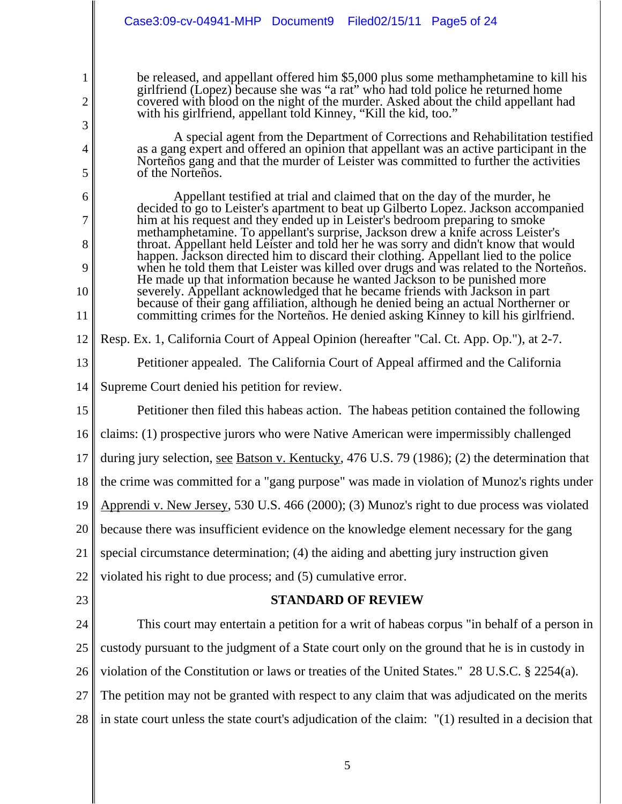be released, and appellant offered him \$5,000 plus some methamphetamine to kill his girlfriend (Lopez) because she was "a rat" who had told police he returned home covered with blood on the night of the murder. Asked about the child appellant had with his girlfriend, appellant told Kinney, "Kill the kid, too."

A special agent from the Department of Corrections and Rehabilitation testified as a gang expert and offered an opinion that appellant was an active participant in the Norteños gang and that the murder of Leister was committed to further the activities of the Norteños.

Appellant testified at trial and claimed that on the day of the murder, he decided to go to Leister's apartment to beat up Gilberto Lopez. Jackson accompanied him at his request and they ended up in Leister's bedroom preparing to smoke methamphetamine. To appellant's surprise, Jackson drew a knife across Leister's throat. Appellant held Leister and told her he was sorry and didn't know that would happen. Jackson directed him to discard their clothing. Appellant lied to the police when he told them that Leister was killed over drugs and was related to the Norteños. He made up that information because he wanted Jackson to be punished more severely. Appellant acknowledged that he became friends with Jackson in part because of their gang affiliation, although he denied being an actual Northerner or committing crimes for the Norteños. He denied asking Kinney to kill his girlfriend.

12 Resp. Ex. 1, California Court of Appeal Opinion (hereafter "Cal. Ct. App. Op."), at 2-7.

13 Petitioner appealed. The California Court of Appeal affirmed and the California

14 Supreme Court denied his petition for review.

1

2

3

4

5

6

7

8

9

10

11

25

15 16 17 18 19 20 21 22 23 24 Petitioner then filed this habeas action. The habeas petition contained the following claims: (1) prospective jurors who were Native American were impermissibly challenged during jury selection, see Batson v. Kentucky, 476 U.S. 79 (1986); (2) the determination that the crime was committed for a "gang purpose" was made in violation of Munoz's rights under Apprendi v. New Jersey, 530 U.S. 466 (2000); (3) Munoz's right to due process was violated because there was insufficient evidence on the knowledge element necessary for the gang special circumstance determination; (4) the aiding and abetting jury instruction given violated his right to due process; and (5) cumulative error. **STANDARD OF REVIEW** This court may entertain a petition for a writ of habeas corpus "in behalf of a person in

26 violation of the Constitution or laws or treaties of the United States." 28 U.S.C. § 2254(a).

custody pursuant to the judgment of a State court only on the ground that he is in custody in

27 The petition may not be granted with respect to any claim that was adjudicated on the merits

28 in state court unless the state court's adjudication of the claim: "(1) resulted in a decision that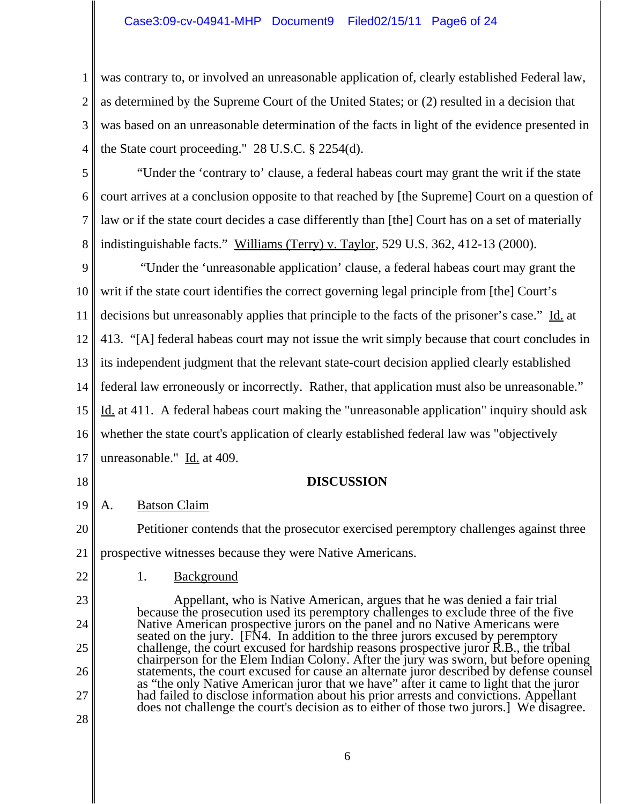## Case3:09-cv-04941-MHP Document9 Filed02/15/11 Page6 of 24

1 2 3 4 was contrary to, or involved an unreasonable application of, clearly established Federal law, as determined by the Supreme Court of the United States; or (2) resulted in a decision that was based on an unreasonable determination of the facts in light of the evidence presented in the State court proceeding." 28 U.S.C. § 2254(d).

5 6 7 8 "Under the 'contrary to' clause, a federal habeas court may grant the writ if the state court arrives at a conclusion opposite to that reached by [the Supreme] Court on a question of law or if the state court decides a case differently than [the] Court has on a set of materially indistinguishable facts." Williams (Terry) v. Taylor, 529 U.S. 362, 412-13 (2000).

9 10 11 12 13 14 15 16 17 "Under the 'unreasonable application' clause, a federal habeas court may grant the writ if the state court identifies the correct governing legal principle from [the] Court's decisions but unreasonably applies that principle to the facts of the prisoner's case." Id. at 413. "[A] federal habeas court may not issue the writ simply because that court concludes in its independent judgment that the relevant state-court decision applied clearly established federal law erroneously or incorrectly. Rather, that application must also be unreasonable." Id. at 411. A federal habeas court making the "unreasonable application" inquiry should ask whether the state court's application of clearly established federal law was "objectively unreasonable." Id. at 409.

# **DISCUSSION**

19 A. Batson Claim

20 21 Petitioner contends that the prosecutor exercised peremptory challenges against three prospective witnesses because they were Native Americans.

1. Background

18

22

23

24

25

26

27

28

Appellant, who is Native American, argues that he was denied a fair trial because the prosecution used its peremptory challenges to exclude three of the five Native American prospective jurors on the panel and no Native Americans were seated on the jury. [FN4. In addition to the three jurors excused by peremptory challenge, the court excused for hardship reasons prospective juror R.B., the tribal chairperson for the Elem Indian Colony. After the jury was sworn, but before opening statements, the court excused for cause an alternate juror described by defense counsel as "the only Native American juror that we have" after it came to light that the juror had failed to disclose information about his prior arrests and convictions. Appellant does not challenge the court's decision as to either of those two jurors.] We disagree.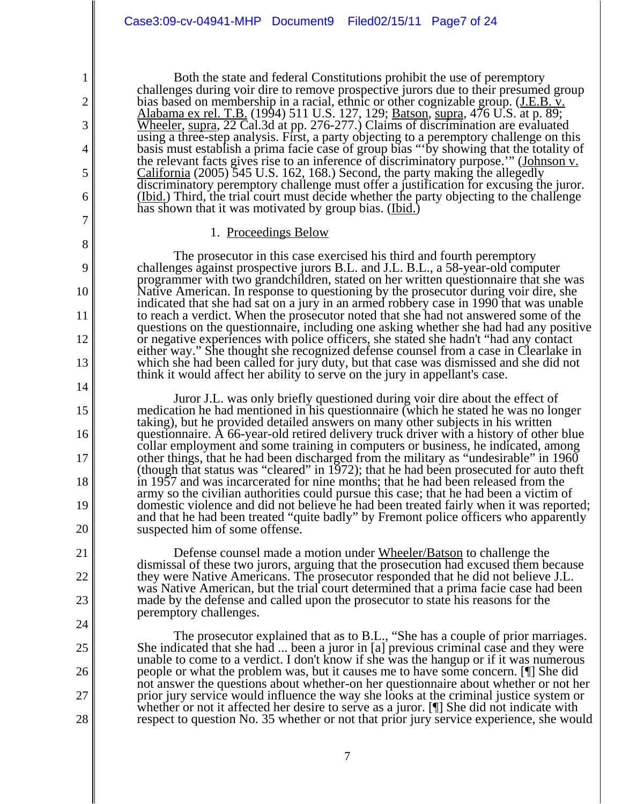Both the state and federal Constitutions prohibit the use of peremptory challenges during voir dire to remove prospective jurors due to their presumed group bias based on membership in a racial, ethnic or other cognizable group. (J.E.B. v. Alabama ex rel. T.B. (1994) 511 U.S. 127, 129; Batson, supra, 476 U.S. at p. 89; Wheeler*,* supra, 22 Cal.3d at pp. 276-277.) Claims of discrimination are evaluated using a three-step analysis. First, a party objecting to a peremptory challenge on this basis must establish a prima facie case of group bias "'by showing that the totality of the relevant facts gives rise to an inference of discriminatory purpose.'" (Johnson v. California (2005) 545 U.S. 162, 168.) Second, the party making the allegedly discriminatory peremptory challenge must offer a justification for excusing the juror. (Ibid.) Third, the trial court must decide whether the party objecting to the challenge has shown that it was motivated by group bias. (Ibid.)

#### 1. Proceedings Below

1

2

3

4

5

6

7

8

9

10

11

12

13

14

15

16

17

18

19

20

21

22

23

24

25

26

27

28

The prosecutor in this case exercised his third and fourth peremptory challenges against prospective jurors B.L. and J.L. B.L., a 58-year-old computer programmer with two grandchildren, stated on her written questionnaire that she was Native American. In response to questioning by the prosecutor during voir dire, she indicated that she had sat on a jury in an armed robbery case in 1990 that was unable to reach a verdict. When the prosecutor noted that she had not answered some of the questions on the questionnaire, including one asking whether she had had any positive or negative experiences with police officers, she stated she hadn't "had any contact either way." She thought she recognized defense counsel from a case in Clearlake in which she had been called for jury duty, but that case was dismissed and she did not think it would affect her ability to serve on the jury in appellant's case.

Juror J.L. was only briefly questioned during voir dire about the effect of medication he had mentioned in his questionnaire (which he stated he was no longer taking), but he provided detailed answers on many other subjects in his written questionnaire. A 66-year-old retired delivery truck driver with a history of other blue collar employment and some training in computers or business, he indicated, among other things, that he had been discharged from the military as "undesirable" in 1960 (though that status was "cleared" in 1972); that he had been prosecuted for auto theft in 1957 and was incarcerated for nine months; that he had been released from the army so the civilian authorities could pursue this case; that he had been a victim of domestic violence and did not believe he had been treated fairly when it was reported; and that he had been treated "quite badly" by Fremont police officers who apparently suspected him of some offense.

Defense counsel made a motion under Wheeler/Batson to challenge the dismissal of these two jurors, arguing that the prosecution had excused them because they were Native Americans. The prosecutor responded that he did not believe J.L. was Native American, but the trial court determined that a prima facie case had been made by the defense and called upon the prosecutor to state his reasons for the peremptory challenges.

The prosecutor explained that as to B.L., "She has a couple of prior marriages. She indicated that she had ... been a juror in [a] previous criminal case and they were unable to come to a verdict. I don't know if she was the hangup or if it was numerous people or what the problem was, but it causes me to have some concern. [¶] She did not answer the questions about whether-on her questionnaire about whether or not her prior jury service would influence the way she looks at the criminal justice system or whether or not it affected her desire to serve as a juror. [¶] She did not indicate with respect to question No. 35 whether or not that prior jury service experience, she would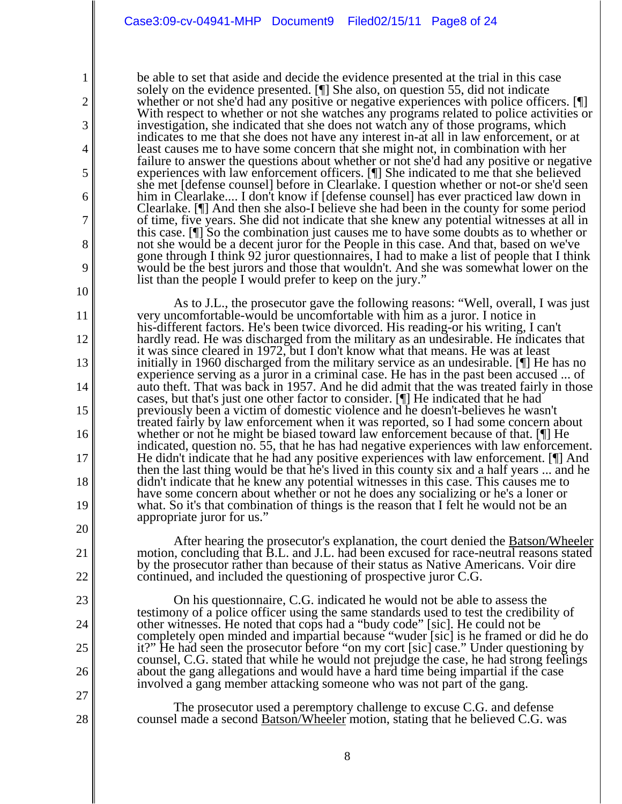2

3

4

5

6

7

8

9

10

11

12

13

14

15

16

17

18

19

20

21

22

23

24

25

26

27

28

be able to set that aside and decide the evidence presented at the trial in this case solely on the evidence presented. [¶] She also, on question 55, did not indicate whether or not she'd had any positive or negative experiences with police officers. [ With respect to whether or not she watches any programs related to police activities or investigation, she indicated that she does not watch any of those programs, which indicates to me that she does not have any interest in-at all in law enforcement, or at least causes me to have some concern that she might not, in combination with her failure to answer the questions about whether or not she'd had any positive or negative experiences with law enforcement officers. [¶] She indicated to me that she believed she met [defense counsel] before in Clearlake. I question whether or not-or she'd seen him in Clearlake.... I don't know if [defense counsel] has ever practiced law down in Clearlake. [¶] And then she also-I believe she had been in the county for some period of time, five years. She did not indicate that she knew any potential witnesses at all in this case. [¶] So the combination just causes me to have some doubts as to whether or not she would be a decent juror for the People in this case. And that, based on we've gone through I think 92 juror questionnaires, I had to make a list of people that I think would be the best jurors and those that wouldn't. And she was somewhat lower on the list than the people I would prefer to keep on the jury."

As to J.L., the prosecutor gave the following reasons: "Well, overall, I was just very uncomfortable-would be uncomfortable with him as a juror. I notice in his-different factors. He's been twice divorced. His reading-or his writing, I can't hardly read. He was discharged from the military as an undesirable. He indicates that it was since cleared in 1972, but I don't know what that means. He was at least initially in 1960 discharged from the military service as an undesirable. [¶] He has no experience serving as a juror in a criminal case. He has in the past been accused ... of auto theft. That was back in 1957. And he did admit that the was treated fairly in those cases, but that's just one other factor to consider. [¶] He indicated that he had previously been a victim of domestic violence and he doesn't-believes he wasn't treated fairly by law enforcement when it was reported, so I had some concern about whether or not he might be biased toward law enforcement because of that. [¶] He indicated, question no. 55, that he has had negative experiences with law enforcement. He didn't indicate that he had any positive experiences with law enforcement. [¶] And then the last thing would be that he's lived in this county six and a half years ... and he didn't indicate that he knew any potential witnesses in this case. This causes me to have some concern about whether or not he does any socializing or he's a loner or what. So it's that combination of things is the reason that I felt he would not be an appropriate juror for us."

After hearing the prosecutor's explanation, the court denied the Batson/Wheeler motion, concluding that B.L. and J.L. had been excused for race-neutral reasons stated by the prosecutor rather than because of their status as Native Americans. Voir dire continued, and included the questioning of prospective juror C.G.

On his questionnaire, C.G. indicated he would not be able to assess the testimony of a police officer using the same standards used to test the credibility of other witnesses. He noted that cops had a "budy code" [sic]. He could not be completely open minded and impartial because "wuder [sic] is he framed or did he do it?" He had seen the prosecutor before "on my cort [sic] case." Under questioning by counsel, C.G. stated that while he would not prejudge the case, he had strong feelings about the gang allegations and would have a hard time being impartial if the case involved a gang member attacking someone who was not part of the gang.

The prosecutor used a peremptory challenge to excuse C.G. and defense counsel made a second Batson/Wheeler motion, stating that he believed C.G. was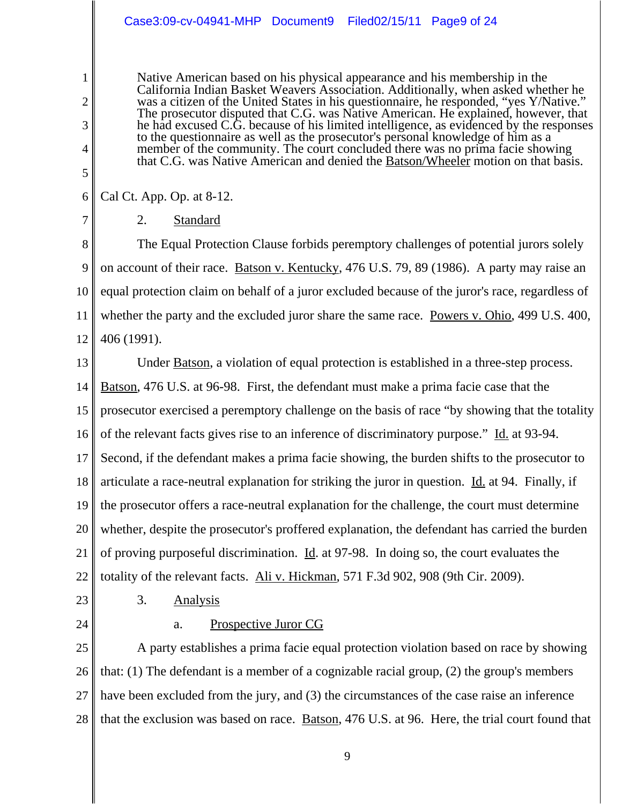# Case3:09-cv-04941-MHP Document9 Filed02/15/11 Page9 of 24

Native American based on his physical appearance and his membership in the California Indian Basket Weavers Association. Additionally, when asked whether he was a citizen of the United States in his questionnaire, he responded, "yes Y/Native." The prosecutor disputed that C.G. was Native American. He explained, however, that he had excused C.G. because of his limited intelligence, as evidenced by the responses to the questionnaire as well as the prosecutor's personal knowledge of him as a member of the community. The court concluded there was no prima facie showing that C.G. was Native American and denied the Batson/Wheeler motion on that basis.

6 Cal Ct. App. Op. at 8-12.

1

2

3

4

5

7

2. Standard

8 9 10 11 12 The Equal Protection Clause forbids peremptory challenges of potential jurors solely on account of their race. Batson v. Kentucky, 476 U.S. 79, 89 (1986). A party may raise an equal protection claim on behalf of a juror excluded because of the juror's race, regardless of whether the party and the excluded juror share the same race. Powers v. Ohio, 499 U.S. 400, 406 (1991).

13 14 15 16 17 18 19 20 21 22 Under Batson, a violation of equal protection is established in a three-step process. Batson, 476 U.S. at 96-98. First, the defendant must make a prima facie case that the prosecutor exercised a peremptory challenge on the basis of race "by showing that the totality of the relevant facts gives rise to an inference of discriminatory purpose." Id. at 93-94. Second, if the defendant makes a prima facie showing, the burden shifts to the prosecutor to articulate a race-neutral explanation for striking the juror in question. Id. at 94. Finally, if the prosecutor offers a race-neutral explanation for the challenge, the court must determine whether, despite the prosecutor's proffered explanation, the defendant has carried the burden of proving purposeful discrimination. Id. at 97-98. In doing so, the court evaluates the totality of the relevant facts. Ali v. Hickman*,* 571 F.3d 902, 908 (9th Cir. 2009).

23 24

3. Analysis

a. Prospective Juror CG

25 26 27 28 A party establishes a prima facie equal protection violation based on race by showing that: (1) The defendant is a member of a cognizable racial group, (2) the group's members have been excluded from the jury, and (3) the circumstances of the case raise an inference that the exclusion was based on race. Batson, 476 U.S. at 96. Here, the trial court found that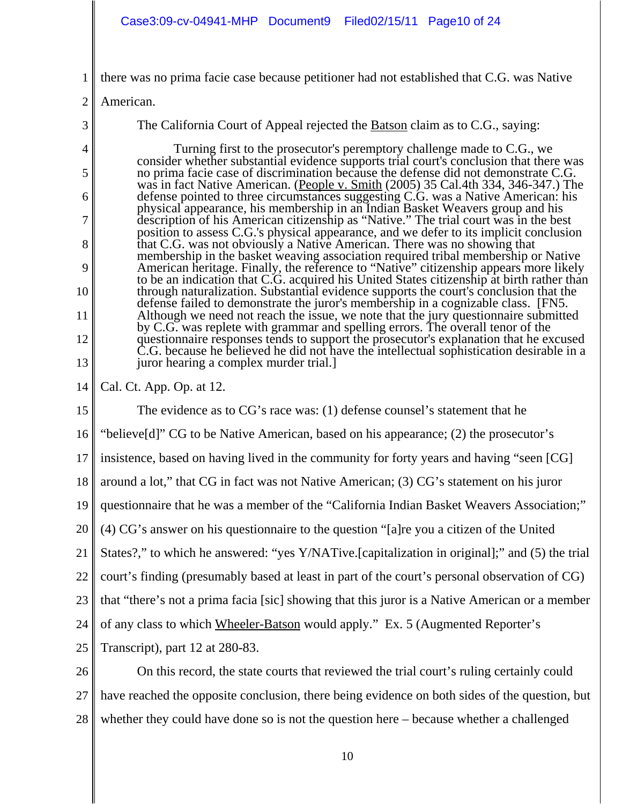1 there was no prima facie case because petitioner had not established that C.G. was Native

2 American.

3

4

5

6

7

8

9

10

11

12

13

The California Court of Appeal rejected the Batson claim as to C.G., saying:

 Turning first to the prosecutor's peremptory challenge made to C.G., we consider whether substantial evidence supports trial court's conclusion that there was no prima facie case of discrimination because the defense did not demonstrate C.G. was in fact Native American. (People v. Smith (2005) 35 Cal.4th 334, 346-347.) The defense pointed to three circumstances suggesting C.G. was a Native American: his physical appearance, his membership in an Indian Basket Weavers group and his description of his American citizenship as "Native." The trial court was in the best position to assess C.G.'s physical appearance, and we defer to its implicit conclusion that C.G. was not obviously a Native American. There was no showing that membership in the basket weaving association required tribal membership or Native American heritage. Finally, the reference to "Native" citizenship appears more likely to be an indication that C.G. acquired his United States citizenship at birth rather than through naturalization. Substantial evidence supports the court's conclusion that the defense failed to demonstrate the juror's membership in a cognizable class. [FN5. Although we need not reach the issue, we note that the jury questionnaire submitted by C.G. was replete with grammar and spelling errors. The overall tenor of the questionnaire responses tends to support the prosecutor's explanation that he excused C.G. because he believed he did not have the intellectual sophistication desirable in a juror hearing a complex murder trial.]

14 Cal. Ct. App. Op. at 12.

15 16 17 18 19 20 21 22 23 24 25 26 The evidence as to CG's race was: (1) defense counsel's statement that he "believe[d]" CG to be Native American, based on his appearance; (2) the prosecutor's insistence, based on having lived in the community for forty years and having "seen [CG] around a lot," that CG in fact was not Native American; (3) CG's statement on his juror questionnaire that he was a member of the "California Indian Basket Weavers Association;" (4) CG's answer on his questionnaire to the question "[a]re you a citizen of the United States?," to which he answered: "yes Y/NATive.[capitalization in original];" and (5) the trial court's finding (presumably based at least in part of the court's personal observation of CG) that "there's not a prima facia [sic] showing that this juror is a Native American or a member of any class to which Wheeler-Batson would apply." Ex. 5 (Augmented Reporter's Transcript), part 12 at 280-83. On this record, the state courts that reviewed the trial court's ruling certainly could

27 28 have reached the opposite conclusion, there being evidence on both sides of the question, but whether they could have done so is not the question here – because whether a challenged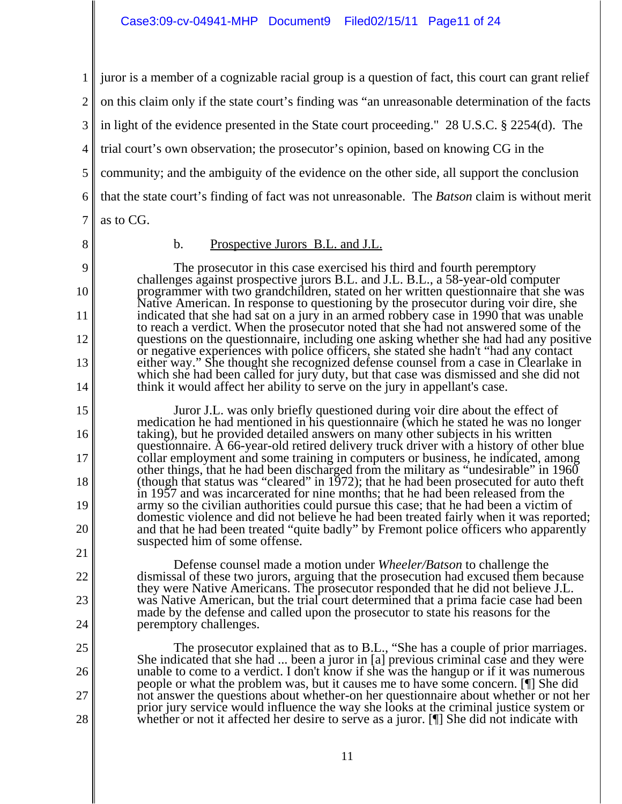1 2 3 4 5 6 7 juror is a member of a cognizable racial group is a question of fact, this court can grant relief on this claim only if the state court's finding was "an unreasonable determination of the facts in light of the evidence presented in the State court proceeding." 28 U.S.C. § 2254(d). The trial court's own observation; the prosecutor's opinion, based on knowing CG in the community; and the ambiguity of the evidence on the other side, all support the conclusion that the state court's finding of fact was not unreasonable. The *Batson* claim is without merit as to CG.

8

9

10

11

12

13

14

15

16

17

18

19

20

21

22

23

24

25

26

27

28

### b. Prospective Jurors B.L. and J.L.

The prosecutor in this case exercised his third and fourth peremptory challenges against prospective jurors B.L. and J.L. B.L., a 58-year-old computer programmer with two grandchildren, stated on her written questionnaire that she was Native American. In response to questioning by the prosecutor during voir dire, she indicated that she had sat on a jury in an armed robbery case in 1990 that was unable to reach a verdict. When the prosecutor noted that she had not answered some of the questions on the questionnaire, including one asking whether she had had any positive or negative experiences with police officers, she stated she hadn't "had any contact either way." She thought she recognized defense counsel from a case in Clearlake in which she had been called for jury duty, but that case was dismissed and she did not think it would affect her ability to serve on the jury in appellant's case.

Juror J.L. was only briefly questioned during voir dire about the effect of medication he had mentioned in his questionnaire (which he stated he was no longer taking), but he provided detailed answers on many other subjects in his written questionnaire. A 66-year-old retired delivery truck driver with a history of other blue collar employment and some training in computers or business, he indicated, among other things, that he had been discharged from the military as "undesirable" in 1960 (though that status was "cleared" in 1972); that he had been prosecuted for auto theft in 1957 and was incarcerated for nine months; that he had been released from the army so the civilian authorities could pursue this case; that he had been a victim of domestic violence and did not believe he had been treated fairly when it was reported; and that he had been treated "quite badly" by Fremont police officers who apparently suspected him of some offense.

Defense counsel made a motion under *Wheeler/Batson* to challenge the dismissal of these two jurors, arguing that the prosecution had excused them because they were Native Americans. The prosecutor responded that he did not believe J.L. was Native American, but the trial court determined that a prima facie case had been made by the defense and called upon the prosecutor to state his reasons for the peremptory challenges.

The prosecutor explained that as to B.L., "She has a couple of prior marriages. She indicated that she had ... been a juror in [a] previous criminal case and they were unable to come to a verdict. I don't know if she was the hangup or if it was numerous people or what the problem was, but it causes me to have some concern. [¶] She did not answer the questions about whether-on her questionnaire about whether or not her prior jury service would influence the way she looks at the criminal justice system or whether or not it affected her desire to serve as a juror. [I] She did not indicate with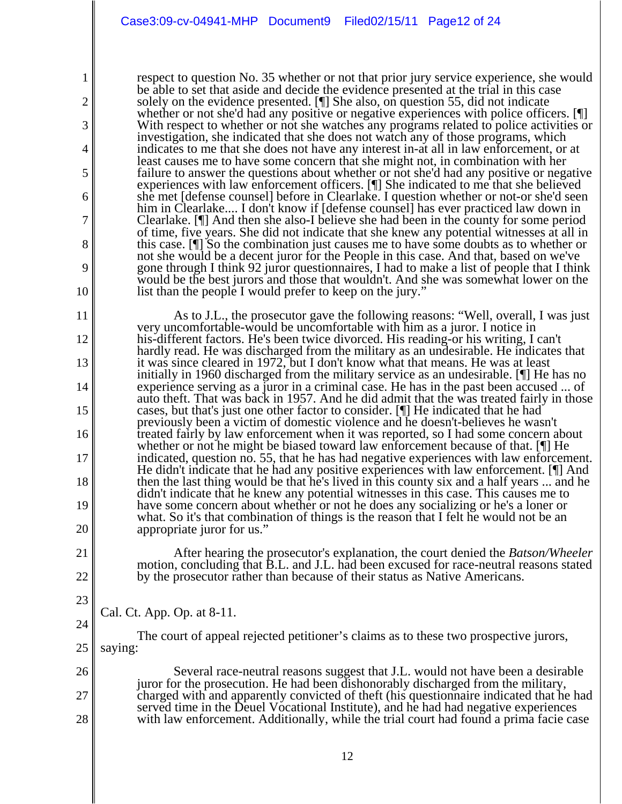respect to question No. 35 whether or not that prior jury service experience, she would be able to set that aside and decide the evidence presented at the trial in this case solely on the evidence presented. [¶] She also, on question 55, did not indicate whether or not she'd had any positive or negative experiences with police officers. [ With respect to whether or not she watches any programs related to police activities or investigation, she indicated that she does not watch any of those programs, which indicates to me that she does not have any interest in-at all in law enforcement, or at least causes me to have some concern that she might not, in combination with her failure to answer the questions about whether or not she'd had any positive or negative experiences with law enforcement officers. [¶] She indicated to me that she believed she met [defense counsel] before in Clearlake. I question whether or not-or she'd seen him in Clearlake.... I don't know if [defense counsel] has ever practiced law down in Clearlake. [¶] And then she also-I believe she had been in the county for some period of time, five years. She did not indicate that she knew any potential witnesses at all in this case. [¶] So the combination just causes me to have some doubts as to whether or not she would be a decent juror for the People in this case. And that, based on we've gone through I think 92 juror questionnaires, I had to make a list of people that I think would be the best jurors and those that wouldn't. And she was somewhat lower on the list than the people I would prefer to keep on the jury."

As to J.L., the prosecutor gave the following reasons: "Well, overall, I was just very uncomfortable-would be uncomfortable with him as a juror. I notice in his-different factors. He's been twice divorced. His reading-or his writing, I can't hardly read. He was discharged from the military as an undesirable. He indicates that it was since cleared in 1972, but I don't know what that means. He was at least initially in 1960 discharged from the military service as an undesirable. [¶] He has no experience serving as a juror in a criminal case. He has in the past been accused ... of auto theft. That was back in 1957. And he did admit that the was treated fairly in those cases, but that's just one other factor to consider. [¶] He indicated that he had previously been a victim of domestic violence and he doesn't-believes he wasn't treated fairly by law enforcement when it was reported, so I had some concern about whether or not he might be biased toward law enforcement because of that. [¶] He indicated, question no. 55, that he has had negative experiences with law enforcement. He didn't indicate that he had any positive experiences with law enforcement. [¶] And then the last thing would be that he's lived in this county six and a half years ... and he didn't indicate that he knew any potential witnesses in this case. This causes me to have some concern about whether or not he does any socializing or he's a loner or what. So it's that combination of things is the reason that I felt he would not be an appropriate juror for us."

After hearing the prosecutor's explanation, the court denied the *Batson/Wheeler* motion, concluding that B.L. and J.L. had been excused for race-neutral reasons stated by the prosecutor rather than because of their status as Native Americans.

Cal. Ct. App. Op. at 8-11.

1

2

3

4

5

6

7

8

9

10

11

12

13

14

15

16

17

18

19

20

21

22

23

24

25 The court of appeal rejected petitioner's claims as to these two prospective jurors, saying:

26 27 28 Several race-neutral reasons suggest that J.L. would not have been a desirable juror for the prosecution. He had been dishonorably discharged from the military, charged with and apparently convicted of theft (his questionnaire indicated that he had served time in the Deuel Vocational Institute), and he had had negative experiences with law enforcement. Additionally, while the trial court had found a prima facie case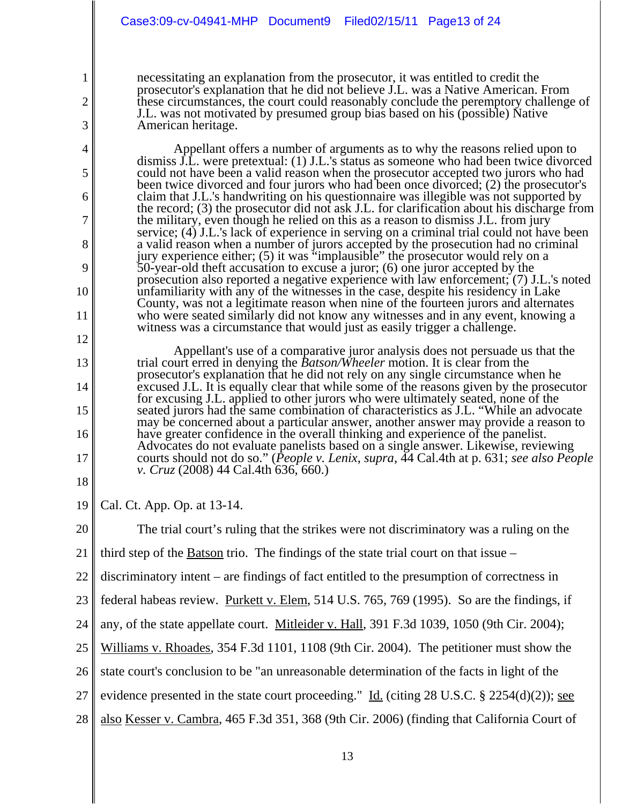necessitating an explanation from the prosecutor, it was entitled to credit the prosecutor's explanation that he did not believe J.L. was a Native American. From these circumstances, the court could reasonably conclude the peremptory challenge of J.L. was not motivated by presumed group bias based on his (possible) Native American heritage.

Appellant offers a number of arguments as to why the reasons relied upon to dismiss J.L. were pretextual: (1) J.L.'s status as someone who had been twice divorced could not have been a valid reason when the prosecutor accepted two jurors who had been twice divorced and four jurors who had been once divorced; (2) the prosecutor's claim that J.L.'s handwriting on his questionnaire was illegible was not supported by the record; (3) the prosecutor did not ask J.L. for clarification about his discharge from the military, even though he relied on this as a reason to dismiss J.L. from jury service; (4) J.L.'s lack of experience in serving on a criminal trial could not have been a valid reason when a number of jurors accepted by the prosecution had no criminal jury experience either; (5) it was "implausible" the prosecutor would rely on a 50-year-old theft accusation to excuse a juror; (6) one juror accepted by the prosecution also reported a negative experience with law enforcement; (7) J.L.'s noted unfamiliarity with any of the witnesses in the case, despite his residency in Lake County, was not a legitimate reason when nine of the fourteen jurors and alternates who were seated similarly did not know any witnesses and in any event, knowing a witness was a circumstance that would just as easily trigger a challenge.

Appellant's use of a comparative juror analysis does not persuade us that the trial court erred in denying the *Batson/Wheeler* motion. It is clear from the prosecutor's explanation that he did not rely on any single circumstance when he excused J.L. It is equally clear that while some of the reasons given by the prosecutor for excusing J.L. applied to other jurors who were ultimately seated, none of the seated jurors had the same combination of characteristics as J.L. "While an advocate may be concerned about a particular answer, another answer may provide a reason to have greater confidence in the overall thinking and experience of the panelist. Advocates do not evaluate panelists based on a single answer. Likewise, reviewing courts should not do so." (*People v. Lenix*, *supra*, 44 Cal.4th at p. 631; *see also People v. Cruz* (2008) 44 Cal.4th 636, 660.)

19 Cal. Ct. App. Op. at 13-14.

1

2

3

4

5

6

7

8

9

10

11

12

13

14

15

16

17

18

20

The trial court's ruling that the strikes were not discriminatory was a ruling on the

21 third step of the Batson trio. The findings of the state trial court on that issue –

22 discriminatory intent – are findings of fact entitled to the presumption of correctness in

23 federal habeas review. Purkett v. Elem, 514 U.S. 765, 769 (1995). So are the findings, if

24 any, of the state appellate court. Mitleider v. Hall, 391 F.3d 1039, 1050 (9th Cir. 2004);

25 Williams v. Rhoades, 354 F.3d 1101, 1108 (9th Cir. 2004). The petitioner must show the

26 state court's conclusion to be "an unreasonable determination of the facts in light of the

27 evidence presented in the state court proceeding." Id. (citing 28 U.S.C.  $\S$  2254(d)(2)); see

28 also Kesser v. Cambra, 465 F.3d 351, 368 (9th Cir. 2006) (finding that California Court of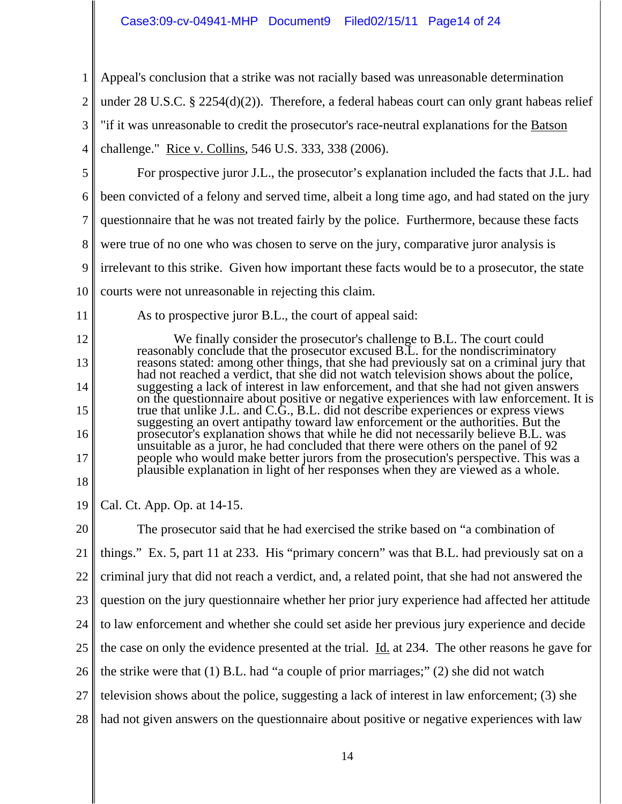# Case3:09-cv-04941-MHP Document9 Filed02/15/11 Page14 of 24

1 2 3 4 5 6 7 8 9 10 11 12 13 14 15 16 17 18 19 20 21 22 23 24 25 26 27 28 Appeal's conclusion that a strike was not racially based was unreasonable determination under 28 U.S.C. § 2254(d)(2)). Therefore, a federal habeas court can only grant habeas relief "if it was unreasonable to credit the prosecutor's race-neutral explanations for the Batson challenge." Rice v. Collins, 546 U.S. 333, 338 (2006). For prospective juror J.L., the prosecutor's explanation included the facts that J.L. had been convicted of a felony and served time, albeit a long time ago, and had stated on the jury questionnaire that he was not treated fairly by the police. Furthermore, because these facts were true of no one who was chosen to serve on the jury, comparative juror analysis is irrelevant to this strike. Given how important these facts would be to a prosecutor, the state courts were not unreasonable in rejecting this claim. As to prospective juror B.L., the court of appeal said: We finally consider the prosecutor's challenge to B.L. The court could reasonably conclude that the prosecutor excused B.L. for the nondiscriminatory reasons stated: among other things, that she had previously sat on a criminal jury that had not reached a verdict, that she did not watch television shows about the police, suggesting a lack of interest in law enforcement, and that she had not given answers on the questionnaire about positive or negative experiences with law enforcement. It is true that unlike J.L. and C.G., B.L. did not describe experiences or express views suggesting an overt antipathy toward law enforcement or the authorities. But the prosecutor's explanation shows that while he did not necessarily believe B.L. was unsuitable as a juror, he had concluded that there were others on the panel of 92 people who would make better jurors from the prosecution's perspective. This was a plausible explanation in light of her responses when they are viewed as a whole. Cal. Ct. App. Op. at 14-15. The prosecutor said that he had exercised the strike based on "a combination of things." Ex. 5, part 11 at 233. His "primary concern" was that B.L. had previously sat on a criminal jury that did not reach a verdict, and, a related point, that she had not answered the question on the jury questionnaire whether her prior jury experience had affected her attitude to law enforcement and whether she could set aside her previous jury experience and decide the case on only the evidence presented at the trial. Id. at 234. The other reasons he gave for the strike were that (1) B.L. had "a couple of prior marriages;" (2) she did not watch television shows about the police, suggesting a lack of interest in law enforcement; (3) she had not given answers on the questionnaire about positive or negative experiences with law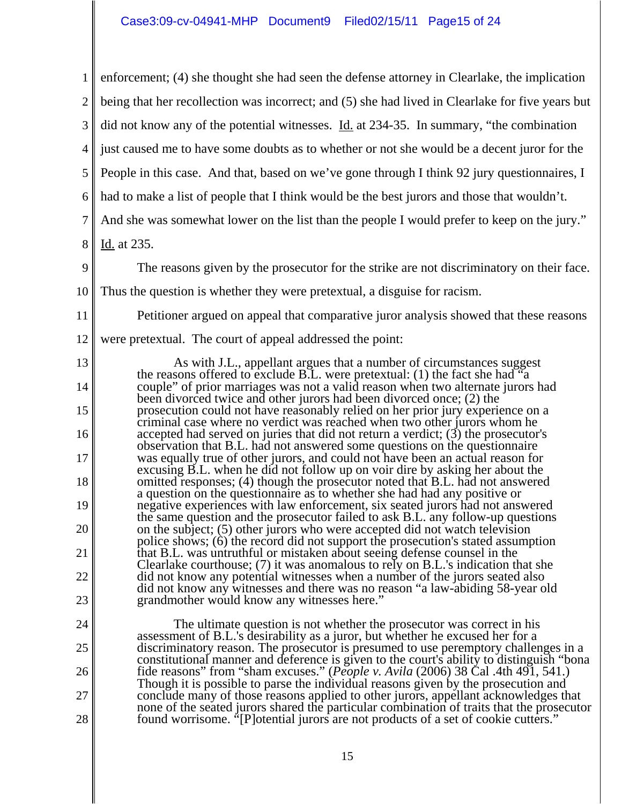| 1              | enforcement; (4) she thought she had seen the defense attorney in Clearlake, the implication                                                                                           |
|----------------|----------------------------------------------------------------------------------------------------------------------------------------------------------------------------------------|
| $\overline{2}$ | being that her recollection was incorrect; and (5) she had lived in Clearlake for five years but                                                                                       |
| 3              | did not know any of the potential witnesses. Id. at 234-35. In summary, "the combination                                                                                               |
| 4              | just caused me to have some doubts as to whether or not she would be a decent juror for the                                                                                            |
| 5              | People in this case. And that, based on we've gone through I think 92 jury questionnaires, I                                                                                           |
| 6              | had to make a list of people that I think would be the best jurors and those that wouldn't.                                                                                            |
| $\overline{7}$ | And she was somewhat lower on the list than the people I would prefer to keep on the jury."                                                                                            |
| 8              | Id. at 235.                                                                                                                                                                            |
| 9              | The reasons given by the prosecutor for the strike are not discriminatory on their face.                                                                                               |
| 10             | Thus the question is whether they were pretextual, a disguise for racism.                                                                                                              |
| 11             | Petitioner argued on appeal that comparative juror analysis showed that these reasons                                                                                                  |
| 12             | were pretextual. The court of appeal addressed the point:                                                                                                                              |
| 13             | As with J.L., appellant argues that a number of circumstances suggest                                                                                                                  |
| 14             | the reasons offered to exclude B.L. were pretextual: (1) the fact she had $a^2$<br>couple" of prior marriages was not a valid reason when two alternate jurors had                     |
| 15             | been divorced twice and other jurors had been divorced once; (2) the<br>prosecution could not have reasonably relied on her prior jury experience on a                                 |
| 16             | criminal case where no verdict was reached when two other jurors whom he<br>accepted had served on juries that did not return a verdict; $(3)$ the prosecutor's                        |
| 17             | observation that B.L. had not answered some questions on the questionnaire<br>was equally true of other jurors, and could not have been an actual reason for                           |
| 18             | excusing B.L. when he did not follow up on voir dire by asking her about the<br>omitted responses; (4) though the prosecutor noted that B.L. had not answered                          |
| 19             | a question on the question aire as to whether she had had any positive or<br>negative experiences with law enforcement, six seated jurors had not answered                             |
| 20             | the same question and the prosecutor failed to ask B.L. any follow-up questions<br>on the subject; (5) other jurors who were accepted did not watch television                         |
| 21             | police shows; (6) the record did not support the prosecution's stated assumption<br>that B.L. was untruthful or mistaken about seeing defense counsel in the                           |
| 22             | Clearlake courthouse; (7) it was anomalous to rely on B.L.'s indication that she<br>did not know any potential witnesses when a number of the jurors seated also                       |
| 23             | did not know any witnesses and there was no reason "a law-abiding 58-year old<br>grand mother would know any witnesses here."                                                          |
| 24             | The ultimate question is not whether the prosecutor was correct in his                                                                                                                 |
| 25             | assessment of B.L.'s desirability as a juror, but whether he excused her for a<br>discriminatory reason. The prosecutor is presumed to use peremptory challenges in a                  |
| 26             | constitutional manner and deference is given to the court's ability to distinguish "bona"<br>fide reasons" from "sham excuses." ( <i>People v. Avila</i> (2006) 38 Cal. 4th 491, 541.) |
| 27             | Though it is possible to parse the individual reasons given by the prosecution and<br>conclude many of those reasons applied to other jurors, appellant acknowledges that              |
| 28             | none of the seated jurors shared the particular combination of traits that the prosecutor<br>found worrisome. "[P] otential jurors are not products of a set of cookie cutters."       |
|                |                                                                                                                                                                                        |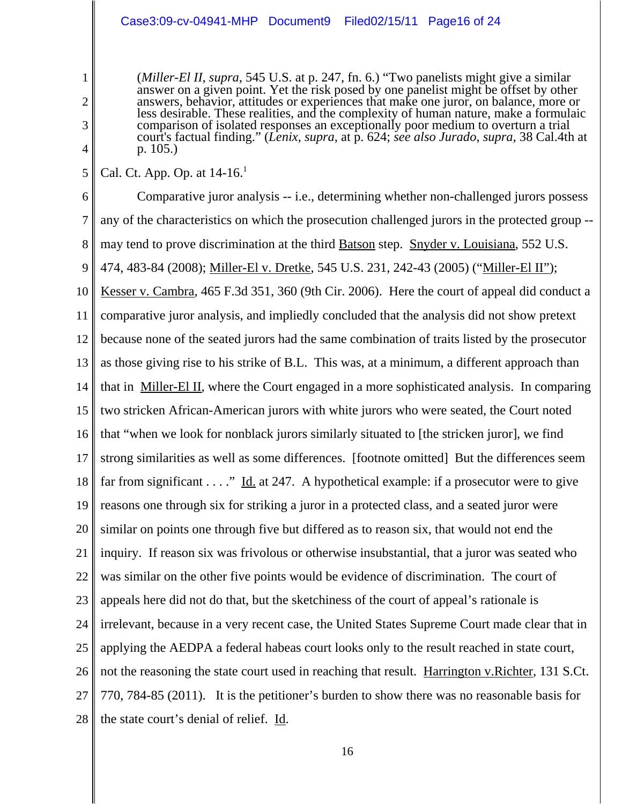# Case3:09-cv-04941-MHP Document9 Filed02/15/11 Page16 of 24

(*Miller-El II*, *supra*, 545 U.S. at p. 247, fn. 6.) "Two panelists might give a similar answer on a given point. Yet the risk posed by one panelist might be offset by other answers, behavior, attitudes or experiences that make one juror, on balance, more or less desirable. These realities, and the complexity of human nature, make a formulaic comparison of isolated responses an exceptionally poor medium to overturn a trial court's factual finding." (*Lenix*, *supra*, at p. 624; *see also Jurado*, *supra*, 38 Cal.4th at p. 105.)

5 Cal. Ct. App. Op. at  $14-16$ <sup>1</sup>

1

2

3

4

6 7 8 9 10 11 12 13 14 15 16 17 18 19 20 21 22 23 24 25 26 27 28 Comparative juror analysis -- i.e., determining whether non-challenged jurors possess any of the characteristics on which the prosecution challenged jurors in the protected group - may tend to prove discrimination at the third **Batson** step. Snyder v. Louisiana, 552 U.S. 474, 483-84 (2008); Miller-El v. Dretke, 545 U.S. 231, 242-43 (2005) ("Miller-El II"); Kesser v. Cambra, 465 F.3d 351, 360 (9th Cir. 2006). Here the court of appeal did conduct a comparative juror analysis, and impliedly concluded that the analysis did not show pretext because none of the seated jurors had the same combination of traits listed by the prosecutor as those giving rise to his strike of B.L. This was, at a minimum, a different approach than that in Miller-El II, where the Court engaged in a more sophisticated analysis. In comparing two stricken African-American jurors with white jurors who were seated, the Court noted that "when we look for nonblack jurors similarly situated to [the stricken juror], we find strong similarities as well as some differences. [footnote omitted] But the differences seem far from significant  $\dots$ ." Id. at 247. A hypothetical example: if a prosecutor were to give reasons one through six for striking a juror in a protected class, and a seated juror were similar on points one through five but differed as to reason six, that would not end the inquiry. If reason six was frivolous or otherwise insubstantial, that a juror was seated who was similar on the other five points would be evidence of discrimination. The court of appeals here did not do that, but the sketchiness of the court of appeal's rationale is irrelevant, because in a very recent case, the United States Supreme Court made clear that in applying the AEDPA a federal habeas court looks only to the result reached in state court, not the reasoning the state court used in reaching that result. Harrington v.Richter, 131 S.Ct. 770, 784-85 (2011). It is the petitioner's burden to show there was no reasonable basis for the state court's denial of relief. Id.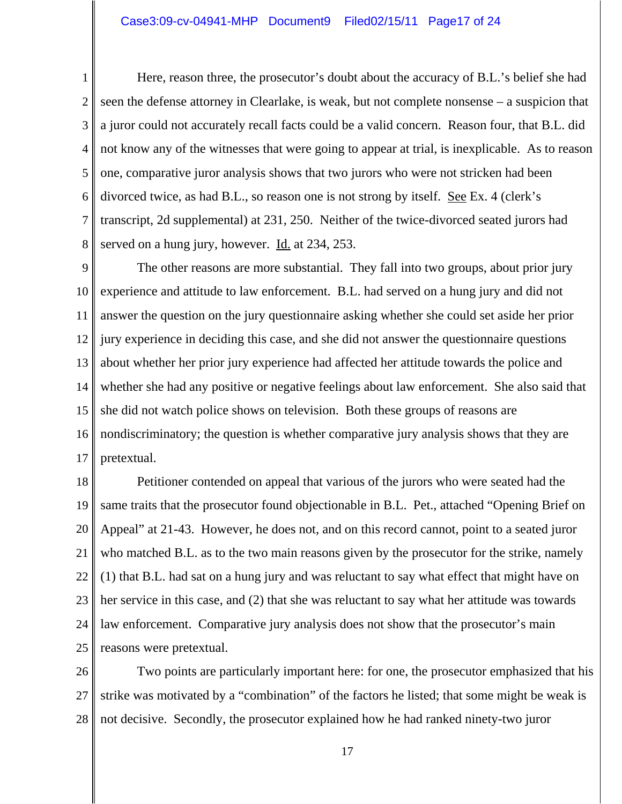1 2 3 4 5 6 7 8 Here, reason three, the prosecutor's doubt about the accuracy of B.L.'s belief she had seen the defense attorney in Clearlake, is weak, but not complete nonsense – a suspicion that a juror could not accurately recall facts could be a valid concern. Reason four, that B.L. did not know any of the witnesses that were going to appear at trial, is inexplicable. As to reason one, comparative juror analysis shows that two jurors who were not stricken had been divorced twice, as had B.L., so reason one is not strong by itself. See Ex. 4 (clerk's transcript, 2d supplemental) at 231, 250. Neither of the twice-divorced seated jurors had served on a hung jury, however. Id. at 234, 253.

9 10 11 12 13 14 15 16 17 The other reasons are more substantial. They fall into two groups, about prior jury experience and attitude to law enforcement. B.L. had served on a hung jury and did not answer the question on the jury questionnaire asking whether she could set aside her prior jury experience in deciding this case, and she did not answer the questionnaire questions about whether her prior jury experience had affected her attitude towards the police and whether she had any positive or negative feelings about law enforcement. She also said that she did not watch police shows on television. Both these groups of reasons are nondiscriminatory; the question is whether comparative jury analysis shows that they are pretextual.

18 19 20 21 22 23 24 25 Petitioner contended on appeal that various of the jurors who were seated had the same traits that the prosecutor found objectionable in B.L. Pet., attached "Opening Brief on Appeal" at 21-43. However, he does not, and on this record cannot, point to a seated juror who matched B.L. as to the two main reasons given by the prosecutor for the strike, namely (1) that B.L. had sat on a hung jury and was reluctant to say what effect that might have on her service in this case, and (2) that she was reluctant to say what her attitude was towards law enforcement. Comparative jury analysis does not show that the prosecutor's main reasons were pretextual.

26 27 28 Two points are particularly important here: for one, the prosecutor emphasized that his strike was motivated by a "combination" of the factors he listed; that some might be weak is not decisive. Secondly, the prosecutor explained how he had ranked ninety-two juror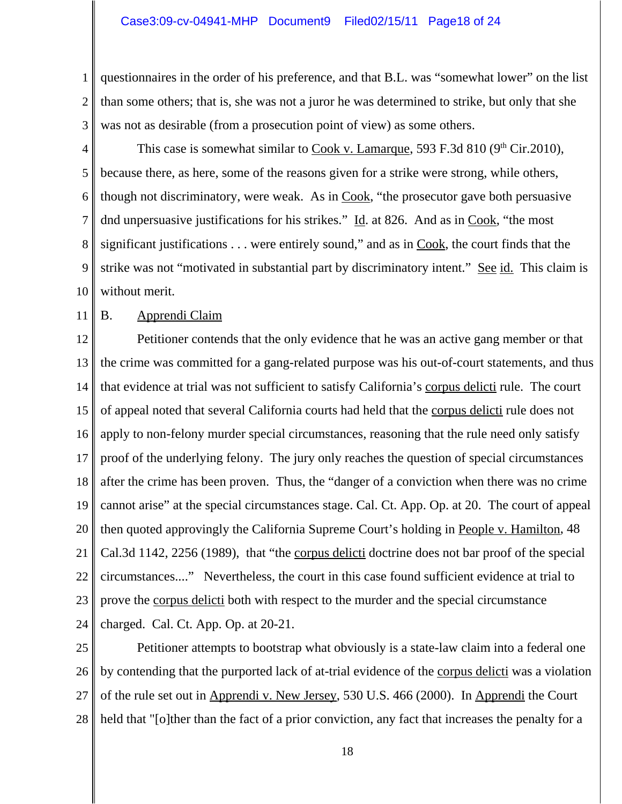1 2 3 questionnaires in the order of his preference, and that B.L. was "somewhat lower" on the list than some others; that is, she was not a juror he was determined to strike, but only that she was not as desirable (from a prosecution point of view) as some others.

4 5 6 7 8 9 10 This case is somewhat similar to Cook v. Lamarque, 593 F.3d 810 ( $9<sup>th</sup> Cir.2010$ ), because there, as here, some of the reasons given for a strike were strong, while others, though not discriminatory, were weak. As in Cook, "the prosecutor gave both persuasive dnd unpersuasive justifications for his strikes." Id. at 826. And as in Cook, "the most significant justifications  $\dots$  were entirely sound," and as in Cook, the court finds that the strike was not "motivated in substantial part by discriminatory intent." See id. This claim is without merit.

11

# B. Apprendi Claim

12 13 14 15 16 17 18 19 20 21 22 23 24 Petitioner contends that the only evidence that he was an active gang member or that the crime was committed for a gang-related purpose was his out-of-court statements, and thus that evidence at trial was not sufficient to satisfy California's corpus delicti rule. The court of appeal noted that several California courts had held that the corpus delicti rule does not apply to non-felony murder special circumstances, reasoning that the rule need only satisfy proof of the underlying felony. The jury only reaches the question of special circumstances after the crime has been proven. Thus, the "danger of a conviction when there was no crime cannot arise" at the special circumstances stage. Cal. Ct. App. Op. at 20. The court of appeal then quoted approvingly the California Supreme Court's holding in People v. Hamilton, 48 Cal.3d 1142, 2256 (1989), that "the corpus delicti doctrine does not bar proof of the special circumstances...." Nevertheless, the court in this case found sufficient evidence at trial to prove the corpus delicti both with respect to the murder and the special circumstance charged. Cal. Ct. App. Op. at 20-21.

25 26 27 28 Petitioner attempts to bootstrap what obviously is a state-law claim into a federal one by contending that the purported lack of at-trial evidence of the corpus delicti was a violation of the rule set out in Apprendi v. New Jersey, 530 U.S. 466 (2000). In Apprendi the Court held that "[o]ther than the fact of a prior conviction, any fact that increases the penalty for a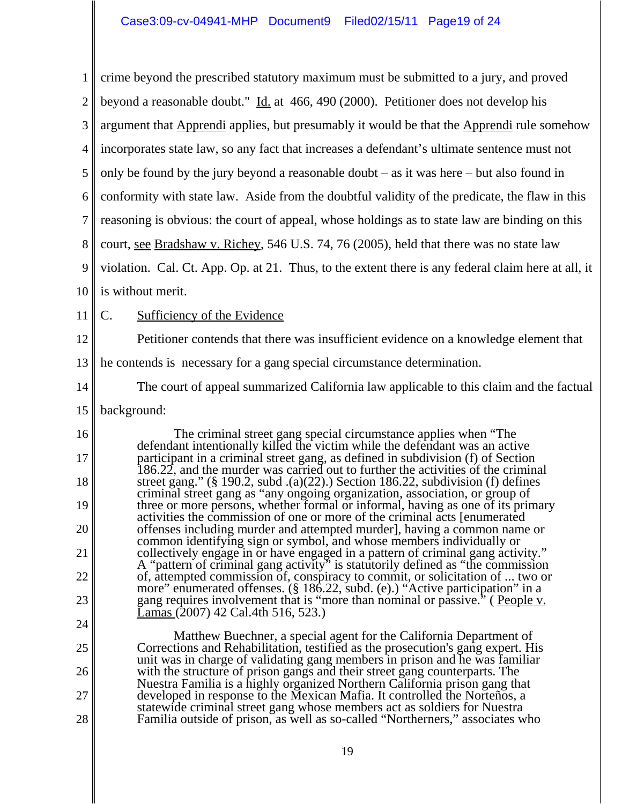1 2 3 4 5 6 7 8 9 10 11 12 13 14 15 16 17 18 19 20 21 22 23 24 25 26 27 28 crime beyond the prescribed statutory maximum must be submitted to a jury, and proved beyond a reasonable doubt." Id. at 466, 490 (2000). Petitioner does not develop his argument that Apprendi applies, but presumably it would be that the Apprendi rule somehow incorporates state law, so any fact that increases a defendant's ultimate sentence must not only be found by the jury beyond a reasonable doubt – as it was here – but also found in conformity with state law. Aside from the doubtful validity of the predicate, the flaw in this reasoning is obvious: the court of appeal, whose holdings as to state law are binding on this court, see Bradshaw v. Richey, 546 U.S. 74, 76 (2005), held that there was no state law violation. Cal. Ct. App. Op. at 21. Thus, to the extent there is any federal claim here at all, it is without merit. C. Sufficiency of the Evidence Petitioner contends that there was insufficient evidence on a knowledge element that he contends is necessary for a gang special circumstance determination. The court of appeal summarized California law applicable to this claim and the factual background: The criminal street gang special circumstance applies when "The defendant intentionally killed the victim while the defendant was an active participant in a criminal street gang, as defined in subdivision (f) of Section 186.22, and the murder was carried out to further the activities of the criminal street gang." (§ 190.2, subd .(a)(22).) Section 186.22, subdivision (f) defines criminal street gang as "any ongoing organization, association, or group of three or more persons, whether formal or informal, having as one of its primary activities the commission of one or more of the criminal acts [enumerated offenses including murder and attempted murder], having a common name or common identifying sign or symbol, and whose members individually or collectively engage in or have engaged in a pattern of criminal gang activity." A "pattern of criminal gang activity" is statutorily defined as "the commission of, attempted commission of, conspiracy to commit, or solicitation of ... two or more" enumerated offenses. (§ 186.22, subd. (e).) "Active participation" in a gang requires involvement that is "more than nominal or passive." (People v. Lamas (2007) 42 Cal.4th 516, 523.) Matthew Buechner, a special agent for the California Department of Corrections and Rehabilitation, testified as the prosecution's gang expert. His unit was in charge of validating gang members in prison and he was familiar with the structure of prison gangs and their street gang counterparts. The Nuestra Familia is a highly organized Northern California prison gang that developed in response to the Mexican Mafia. It controlled the Norteños, a statewide criminal street gang whose members act as soldiers for Nuestra Familia outside of prison, as well as so-called "Northerners," associates who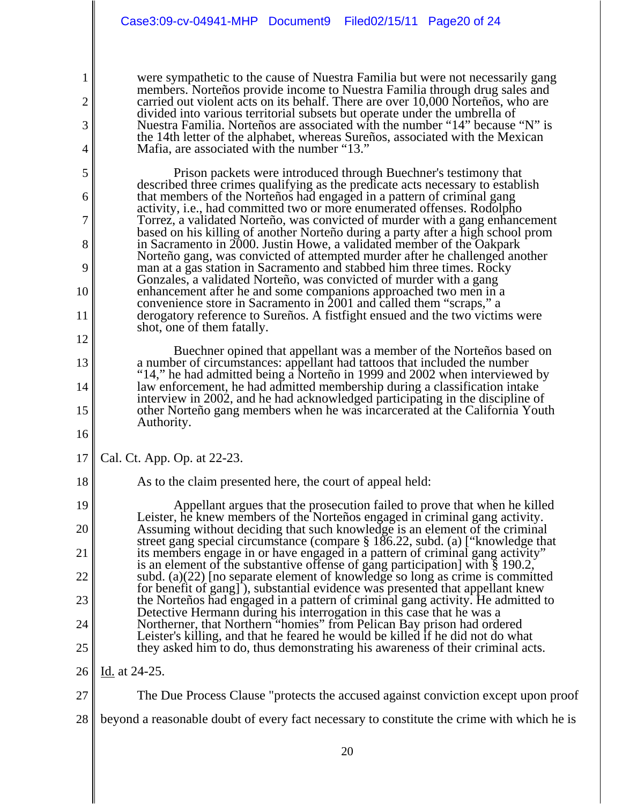were sympathetic to the cause of Nuestra Familia but were not necessarily gang members. Norteños provide income to Nuestra Familia through drug sales and carried out violent acts on its behalf. There are over 10,000 Norteños, who are divided into various territorial subsets but operate under the umbrella of Nuestra Familia. Norteños are associated with the number "14" because "N" is the 14th letter of the alphabet, whereas Sureños, associated with the Mexican Mafia, are associated with the number "13."

Prison packets were introduced through Buechner's testimony that described three crimes qualifying as the predicate acts necessary to establish that members of the Norteños had engaged in a pattern of criminal gang activity, i.e., had committed two or more enumerated offenses. Rodolpho Torrez, a validated Norteño, was convicted of murder with a gang enhancement based on his killing of another Norteño during a party after a high school prom in Sacramento in 2000. Justin Howe, a validated member of the Oakpark Norteño gang, was convicted of attempted murder after he challenged another man at a gas station in Sacramento and stabbed him three times. Rocky Gonzales, a validated Norteño, was convicted of murder with a gang enhancement after he and some companions approached two men in a convenience store in Sacramento in 2001 and called them "scraps," a derogatory reference to Sureños. A fistfight ensued and the two victims were shot, one of them fatally.

Buechner opined that appellant was a member of the Norteños based on a number of circumstances: appellant had tattoos that included the number "14," he had admitted being a Norteño in 1999 and 2002 when interviewed by law enforcement, he had admitted membership during a classification intake interview in 2002, and he had acknowledged participating in the discipline of other Norteño gang members when he was incarcerated at the California Youth Authority.

17 Cal. Ct. App. Op. at 22-23.

1

2

3

4

5

6

7

8

9

10

11

12

13

14

15

16

18

As to the claim presented here, the court of appeal held:

19 20 21 22 23 24 25 Appellant argues that the prosecution failed to prove that when he killed Leister, he knew members of the Norteños engaged in criminal gang activity. Assuming without deciding that such knowledge is an element of the criminal street gang special circumstance (compare § 186.22, subd. (a) ["knowledge that its members engage in or have engaged in a pattern of criminal gang activity" is an element of the substantive offense of gang participation] with § 190.2, subd. (a)(22) [no separate element of knowledge so long as crime is committed for benefit of gang] ), substantial evidence was presented that appellant knew the Norteños had engaged in a pattern of criminal gang activity. He admitted to Detective Hermann during his interrogation in this case that he was a Northerner, that Northern "homies" from Pelican Bay prison had ordered Leister's killing, and that he feared he would be killed if he did not do what they asked him to do, thus demonstrating his awareness of their criminal acts.

26 Id. at 24-25.

- 27 The Due Process Clause "protects the accused against conviction except upon proof
- 28 beyond a reasonable doubt of every fact necessary to constitute the crime with which he is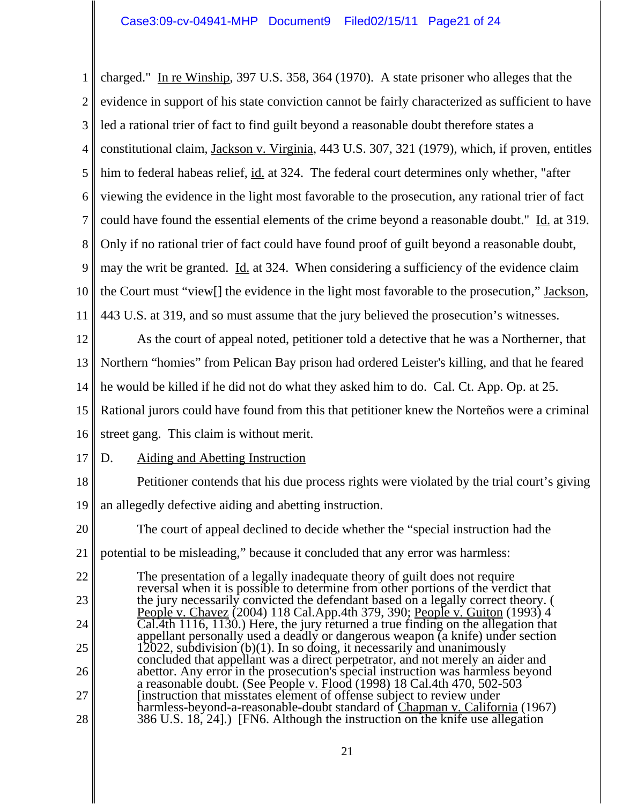1 2 3 4 5 6 7 8 9 10 11 12 13 14 15 16 17 18 19 20 21 22 23 24 25 26 27 28 charged." In re Winship, 397 U.S. 358, 364 (1970). A state prisoner who alleges that the evidence in support of his state conviction cannot be fairly characterized as sufficient to have led a rational trier of fact to find guilt beyond a reasonable doubt therefore states a constitutional claim, Jackson v. Virginia, 443 U.S. 307, 321 (1979), which, if proven, entitles him to federal habeas relief, id. at 324. The federal court determines only whether, "after viewing the evidence in the light most favorable to the prosecution, any rational trier of fact could have found the essential elements of the crime beyond a reasonable doubt." Id. at 319. Only if no rational trier of fact could have found proof of guilt beyond a reasonable doubt, may the writ be granted. Id. at 324. When considering a sufficiency of the evidence claim the Court must "view[] the evidence in the light most favorable to the prosecution," Jackson, 443 U.S. at 319, and so must assume that the jury believed the prosecution's witnesses. As the court of appeal noted, petitioner told a detective that he was a Northerner, that Northern "homies" from Pelican Bay prison had ordered Leister's killing, and that he feared he would be killed if he did not do what they asked him to do. Cal. Ct. App. Op. at 25. Rational jurors could have found from this that petitioner knew the Norteños were a criminal street gang. This claim is without merit. D. Aiding and Abetting Instruction Petitioner contends that his due process rights were violated by the trial court's giving an allegedly defective aiding and abetting instruction. The court of appeal declined to decide whether the "special instruction had the potential to be misleading," because it concluded that any error was harmless: The presentation of a legally inadequate theory of guilt does not require reversal when it is possible to determine from other portions of the verdict that the jury necessarily convicted the defendant based on a legally correct theory. ( People v. Chavez (2004) 118 Cal.App.4th 379, 390; <u>People v. Guiton</u> (1993) 4  $\overline{\text{Cal.4th}}$  1116, 1130.) Here, the jury returned a true finding on the allegation that appellant personally used a deadly or dangerous weapon (a knife) under section 12022, subdivision (b)(1). In so doing, it necessarily and unanimously concluded that appellant was a direct perpetrator, and not merely an aider and abettor. Any error in the prosecution's special instruction was harmless beyond a reasonable doubt. (See People v. Flood (1998) 18 Cal.4th 470, 502-503 [instruction that misstates element of offense subject to review under harmless-beyond-a-reasonable-doubt standard of Chapman v. California (1967) 386 U.S. 18, 24].) [FN6. Although the instruction on the knife use allegation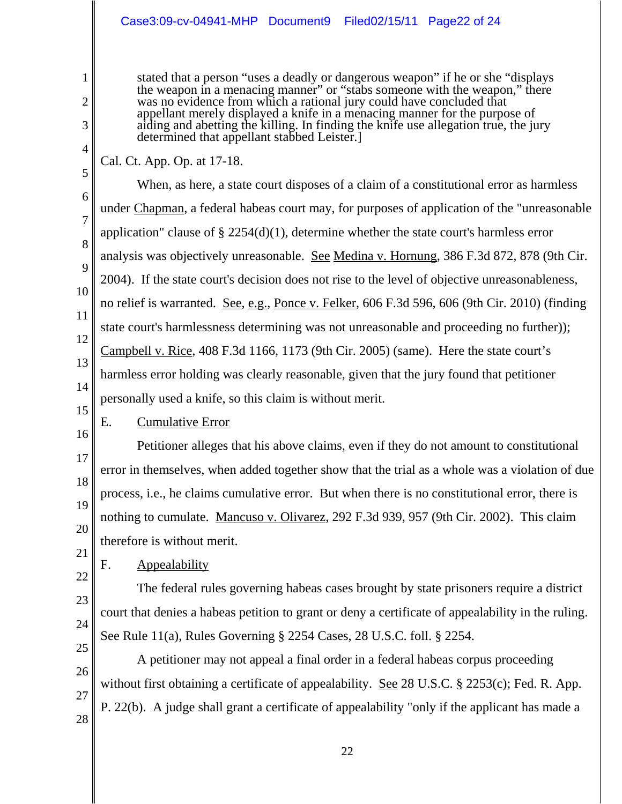# Case3:09-cv-04941-MHP Document9 Filed02/15/11 Page22 of 24

stated that a person "uses a deadly or dangerous weapon" if he or she "displays the weapon in a menacing manner" or "stabs someone with the weapon," there was no evidence from which a rational jury could have concluded that appellant merely displayed a knife in a menacing manner for the purpose of aiding and abetting the killing. In finding the knife use allegation true, the jury determined that appellant stabbed Leister.]

Cal. Ct. App. Op. at 17-18.

5 6 7 8 9 10 11 12 13 14 15 16 When, as here, a state court disposes of a claim of a constitutional error as harmless under Chapman, a federal habeas court may, for purposes of application of the "unreasonable application" clause of § 2254(d)(1), determine whether the state court's harmless error analysis was objectively unreasonable. See Medina v. Hornung, 386 F.3d 872, 878 (9th Cir. 2004). If the state court's decision does not rise to the level of objective unreasonableness, no relief is warranted. See, e.g., Ponce v. Felker, 606 F.3d 596, 606 (9th Cir. 2010) (finding state court's harmlessness determining was not unreasonable and proceeding no further)); Campbell v. Rice, 408 F.3d 1166, 1173 (9th Cir. 2005) (same). Here the state court's harmless error holding was clearly reasonable, given that the jury found that petitioner personally used a knife, so this claim is without merit. E. Cumulative Error

17 18 19 20 Petitioner alleges that his above claims, even if they do not amount to constitutional error in themselves, when added together show that the trial as a whole was a violation of due process, i.e., he claims cumulative error. But when there is no constitutional error, there is nothing to cumulate. Mancuso v. Olivarez, 292 F.3d 939, 957 (9th Cir. 2002). This claim therefore is without merit.

21 22

23

24

1

2

3

4

F. Appealability

The federal rules governing habeas cases brought by state prisoners require a district court that denies a habeas petition to grant or deny a certificate of appealability in the ruling. See Rule 11(a), Rules Governing § 2254 Cases, 28 U.S.C. foll. § 2254.

25 26 27 28 A petitioner may not appeal a final order in a federal habeas corpus proceeding without first obtaining a certificate of appealability. <u>See</u> 28 U.S.C. § 2253(c); Fed. R. App. P. 22(b). A judge shall grant a certificate of appealability "only if the applicant has made a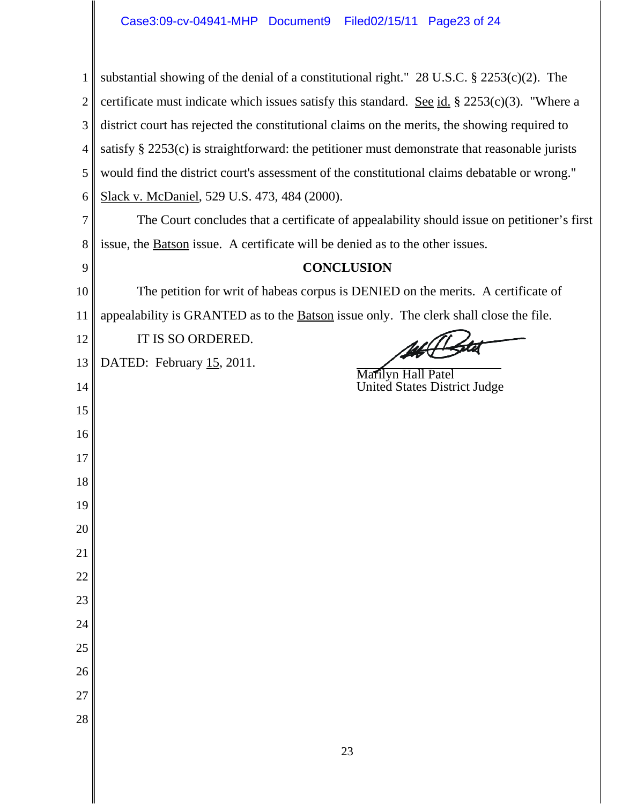| 1              | substantial showing of the denial of a constitutional right." $28$ U.S.C. $\S$ $2253(c)(2)$ . The   |  |  |
|----------------|-----------------------------------------------------------------------------------------------------|--|--|
| $\overline{2}$ | certificate must indicate which issues satisfy this standard. <u>See id.</u> § 2253(c)(3). "Where a |  |  |
| 3              | district court has rejected the constitutional claims on the merits, the showing required to        |  |  |
| 4              | satisfy $\S$ 2253(c) is straightforward: the petitioner must demonstrate that reasonable jurists    |  |  |
| 5              | would find the district court's assessment of the constitutional claims debatable or wrong."        |  |  |
| 6              | Slack v. McDaniel, 529 U.S. 473, 484 (2000).                                                        |  |  |
| 7              | The Court concludes that a certificate of appealability should issue on petitioner's first          |  |  |
| 8              | issue, the <b>Batson</b> issue. A certificate will be denied as to the other issues.                |  |  |
| 9              | <b>CONCLUSION</b>                                                                                   |  |  |
| 10             | The petition for writ of habeas corpus is DENIED on the merits. A certificate of                    |  |  |
| 11             | appealability is GRANTED as to the <b>Batson</b> issue only. The clerk shall close the file.        |  |  |
| 12             | IT IS SO ORDERED.                                                                                   |  |  |
| 13             | DATED: February 15, 2011.<br>Marilyn Hall Patel                                                     |  |  |
| 14             | United States District Judge                                                                        |  |  |
| 15             |                                                                                                     |  |  |
| 16             |                                                                                                     |  |  |
| 17             |                                                                                                     |  |  |
| 18             |                                                                                                     |  |  |
| 19             |                                                                                                     |  |  |
| 20             |                                                                                                     |  |  |
| 21             |                                                                                                     |  |  |
| 22             |                                                                                                     |  |  |
| 23             |                                                                                                     |  |  |
| 24             |                                                                                                     |  |  |
| 25<br>26       |                                                                                                     |  |  |
| 27             |                                                                                                     |  |  |
| 28             |                                                                                                     |  |  |
|                |                                                                                                     |  |  |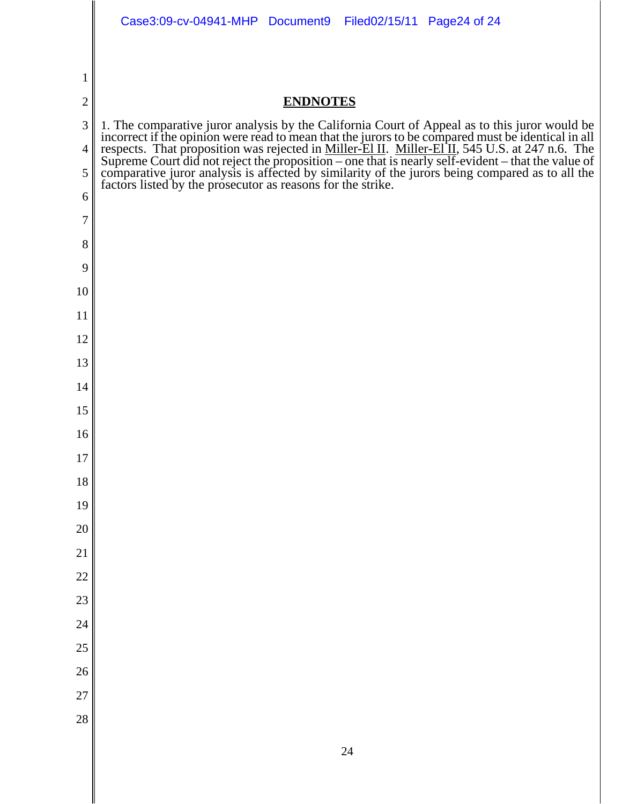|                | Case3:09-cv-04941-MHP Document9<br>Filed02/15/11 Page24 of 24                                                                                                                                                                 |
|----------------|-------------------------------------------------------------------------------------------------------------------------------------------------------------------------------------------------------------------------------|
|                |                                                                                                                                                                                                                               |
| $\mathbf 1$    |                                                                                                                                                                                                                               |
| $\overline{2}$ | <b>ENDNOTES</b>                                                                                                                                                                                                               |
| 3              |                                                                                                                                                                                                                               |
| 4              |                                                                                                                                                                                                                               |
| 5              | 1. The comparative juror analysis by the California Court of Appeal as to this juror would be incorrect if the opinion were read to mean that the jurors to be compared must be identical in all respects. That proposition w |
| 6              |                                                                                                                                                                                                                               |
| 7              |                                                                                                                                                                                                                               |
| 8<br>9         |                                                                                                                                                                                                                               |
| 10             |                                                                                                                                                                                                                               |
| 11             |                                                                                                                                                                                                                               |
| 12             |                                                                                                                                                                                                                               |
| 13             |                                                                                                                                                                                                                               |
| 14             |                                                                                                                                                                                                                               |
| 15             |                                                                                                                                                                                                                               |
| 16             |                                                                                                                                                                                                                               |
| $17\,$         |                                                                                                                                                                                                                               |
| 18             |                                                                                                                                                                                                                               |
| 19             |                                                                                                                                                                                                                               |
| 20             |                                                                                                                                                                                                                               |
| 21             |                                                                                                                                                                                                                               |
| 22             |                                                                                                                                                                                                                               |
| 23             |                                                                                                                                                                                                                               |
| 24<br>25       |                                                                                                                                                                                                                               |
| 26             |                                                                                                                                                                                                                               |
| 27             |                                                                                                                                                                                                                               |
| 28             |                                                                                                                                                                                                                               |
|                |                                                                                                                                                                                                                               |